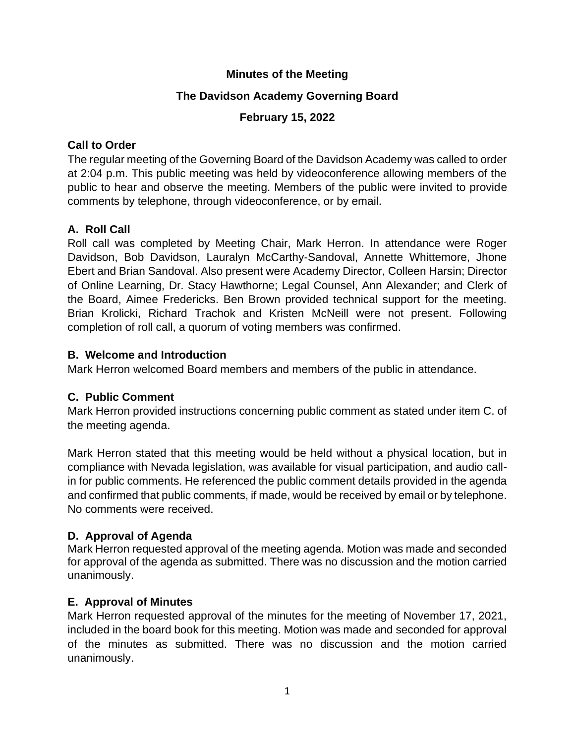## **Minutes of the Meeting**

## **The Davidson Academy Governing Board**

## **February 15, 2022**

## **Call to Order**

The regular meeting of the Governing Board of the Davidson Academy was called to order at 2:04 p.m. This public meeting was held by videoconference allowing members of the public to hear and observe the meeting. Members of the public were invited to provide comments by telephone, through videoconference, or by email.

# **A. Roll Call**

Roll call was completed by Meeting Chair, Mark Herron. In attendance were Roger Davidson, Bob Davidson, Lauralyn McCarthy-Sandoval, Annette Whittemore, Jhone Ebert and Brian Sandoval. Also present were Academy Director, Colleen Harsin; Director of Online Learning, Dr. Stacy Hawthorne; Legal Counsel, Ann Alexander; and Clerk of the Board, Aimee Fredericks. Ben Brown provided technical support for the meeting. Brian Krolicki, Richard Trachok and Kristen McNeill were not present. Following completion of roll call, a quorum of voting members was confirmed.

## **B. Welcome and Introduction**

Mark Herron welcomed Board members and members of the public in attendance.

# **C. Public Comment**

Mark Herron provided instructions concerning public comment as stated under item C. of the meeting agenda.

Mark Herron stated that this meeting would be held without a physical location, but in compliance with Nevada legislation, was available for visual participation, and audio callin for public comments. He referenced the public comment details provided in the agenda and confirmed that public comments, if made, would be received by email or by telephone. No comments were received.

# **D. Approval of Agenda**

Mark Herron requested approval of the meeting agenda. Motion was made and seconded for approval of the agenda as submitted. There was no discussion and the motion carried unanimously.

# **E. Approval of Minutes**

Mark Herron requested approval of the minutes for the meeting of November 17, 2021, included in the board book for this meeting. Motion was made and seconded for approval of the minutes as submitted. There was no discussion and the motion carried unanimously.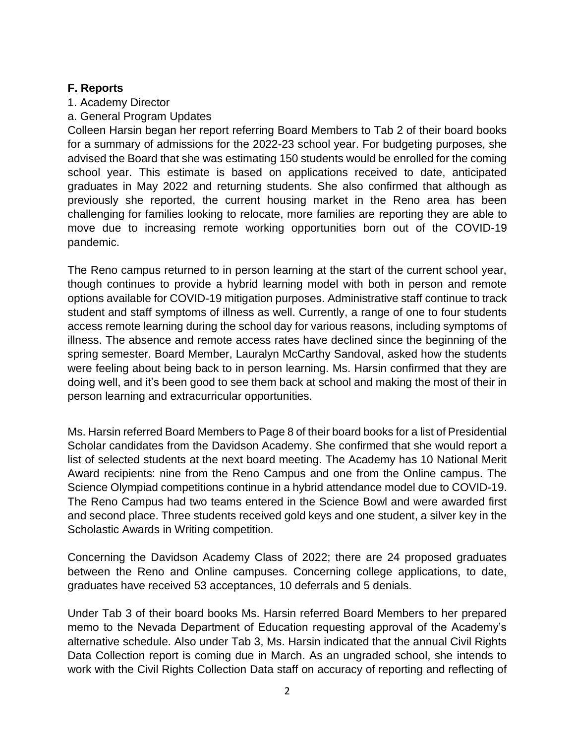#### **F. Reports**

- 1. Academy Director
- a. General Program Updates

Colleen Harsin began her report referring Board Members to Tab 2 of their board books for a summary of admissions for the 2022-23 school year. For budgeting purposes, she advised the Board that she was estimating 150 students would be enrolled for the coming school year. This estimate is based on applications received to date, anticipated graduates in May 2022 and returning students. She also confirmed that although as previously she reported, the current housing market in the Reno area has been challenging for families looking to relocate, more families are reporting they are able to move due to increasing remote working opportunities born out of the COVID-19 pandemic.

The Reno campus returned to in person learning at the start of the current school year, though continues to provide a hybrid learning model with both in person and remote options available for COVID-19 mitigation purposes. Administrative staff continue to track student and staff symptoms of illness as well. Currently, a range of one to four students access remote learning during the school day for various reasons, including symptoms of illness. The absence and remote access rates have declined since the beginning of the spring semester. Board Member, Lauralyn McCarthy Sandoval, asked how the students were feeling about being back to in person learning. Ms. Harsin confirmed that they are doing well, and it's been good to see them back at school and making the most of their in person learning and extracurricular opportunities.

Ms. Harsin referred Board Members to Page 8 of their board books for a list of Presidential Scholar candidates from the Davidson Academy. She confirmed that she would report a list of selected students at the next board meeting. The Academy has 10 National Merit Award recipients: nine from the Reno Campus and one from the Online campus. The Science Olympiad competitions continue in a hybrid attendance model due to COVID-19. The Reno Campus had two teams entered in the Science Bowl and were awarded first and second place. Three students received gold keys and one student, a silver key in the Scholastic Awards in Writing competition.

Concerning the Davidson Academy Class of 2022; there are 24 proposed graduates between the Reno and Online campuses. Concerning college applications, to date, graduates have received 53 acceptances, 10 deferrals and 5 denials.

Under Tab 3 of their board books Ms. Harsin referred Board Members to her prepared memo to the Nevada Department of Education requesting approval of the Academy's alternative schedule. Also under Tab 3, Ms. Harsin indicated that the annual Civil Rights Data Collection report is coming due in March. As an ungraded school, she intends to work with the Civil Rights Collection Data staff on accuracy of reporting and reflecting of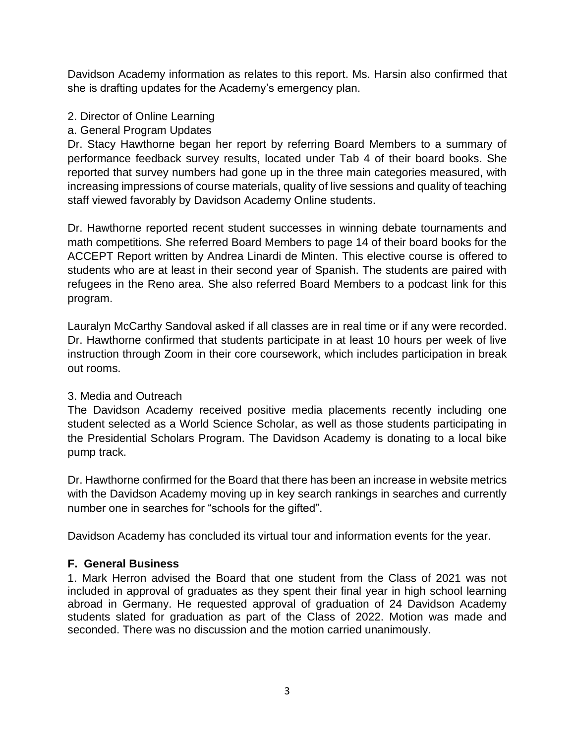Davidson Academy information as relates to this report. Ms. Harsin also confirmed that she is drafting updates for the Academy's emergency plan.

## 2. Director of Online Learning

## a. General Program Updates

Dr. Stacy Hawthorne began her report by referring Board Members to a summary of performance feedback survey results, located under Tab 4 of their board books. She reported that survey numbers had gone up in the three main categories measured, with increasing impressions of course materials, quality of live sessions and quality of teaching staff viewed favorably by Davidson Academy Online students.

Dr. Hawthorne reported recent student successes in winning debate tournaments and math competitions. She referred Board Members to page 14 of their board books for the ACCEPT Report written by Andrea Linardi de Minten. This elective course is offered to students who are at least in their second year of Spanish. The students are paired with refugees in the Reno area. She also referred Board Members to a podcast link for this program.

Lauralyn McCarthy Sandoval asked if all classes are in real time or if any were recorded. Dr. Hawthorne confirmed that students participate in at least 10 hours per week of live instruction through Zoom in their core coursework, which includes participation in break out rooms.

#### 3. Media and Outreach

The Davidson Academy received positive media placements recently including one student selected as a World Science Scholar, as well as those students participating in the Presidential Scholars Program. The Davidson Academy is donating to a local bike pump track.

Dr. Hawthorne confirmed for the Board that there has been an increase in website metrics with the Davidson Academy moving up in key search rankings in searches and currently number one in searches for "schools for the gifted".

Davidson Academy has concluded its virtual tour and information events for the year.

## **F. General Business**

1. Mark Herron advised the Board that one student from the Class of 2021 was not included in approval of graduates as they spent their final year in high school learning abroad in Germany. He requested approval of graduation of 24 Davidson Academy students slated for graduation as part of the Class of 2022. Motion was made and seconded. There was no discussion and the motion carried unanimously.